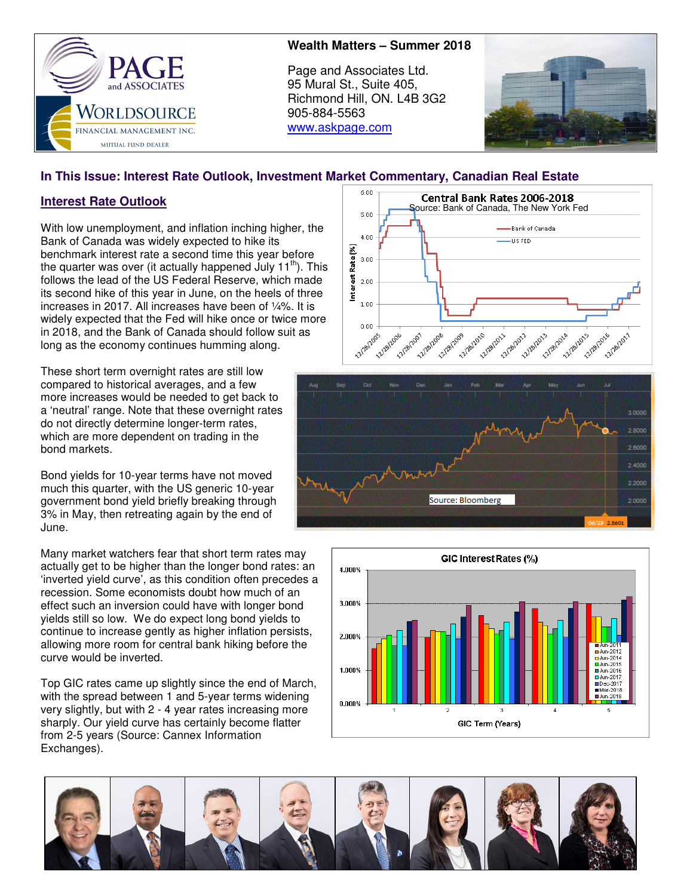

## **Wealth Matters – Summer 2018**

Page and Associates Ltd. 95 Mural St., Suite 405, Richmond Hill, ON. L4B 3G2 905-884-5563 www.askpage.com



# **In This Issue: Interest Rate Outlook, Investment Market Commentary, Canadian Real Estate**

# **Interest Rate Outlook**

With low unemployment, and inflation inching higher, the Bank of Canada was widely expected to hike its benchmark interest rate a second time this year before the quarter was over (it actually happened July  $11<sup>th</sup>$ ). This follows the lead of the US Federal Reserve, which made its second hike of this year in June, on the heels of three increases in 2017. All increases have been of ¼%. It is widely expected that the Fed will hike once or twice more in 2018, and the Bank of Canada should follow suit as long as the economy continues humming along.

These short term overnight rates are still low compared to historical averages, and a few more increases would be needed to get back to a 'neutral' range. Note that these overnight rates do not directly determine longer-term rates, which are more dependent on trading in the bond markets.

Bond yields for 10-year terms have not moved much this quarter, with the US generic 10-year government bond yield briefly breaking through 3% in May, then retreating again by the end of June.

Many market watchers fear that short term rates may actually get to be higher than the longer bond rates: an 'inverted yield curve', as this condition often precedes a recession. Some economists doubt how much of an effect such an inversion could have with longer bond yields still so low. We do expect long bond yields to continue to increase gently as higher inflation persists, allowing more room for central bank hiking before the curve would be inverted.

Top GIC rates came up slightly since the end of March, with the spread between 1 and 5-year terms widening very slightly, but with 2 - 4 year rates increasing more sharply. Our yield curve has certainly become flatter from 2-5 years (Source: Cannex Information Exchanges).







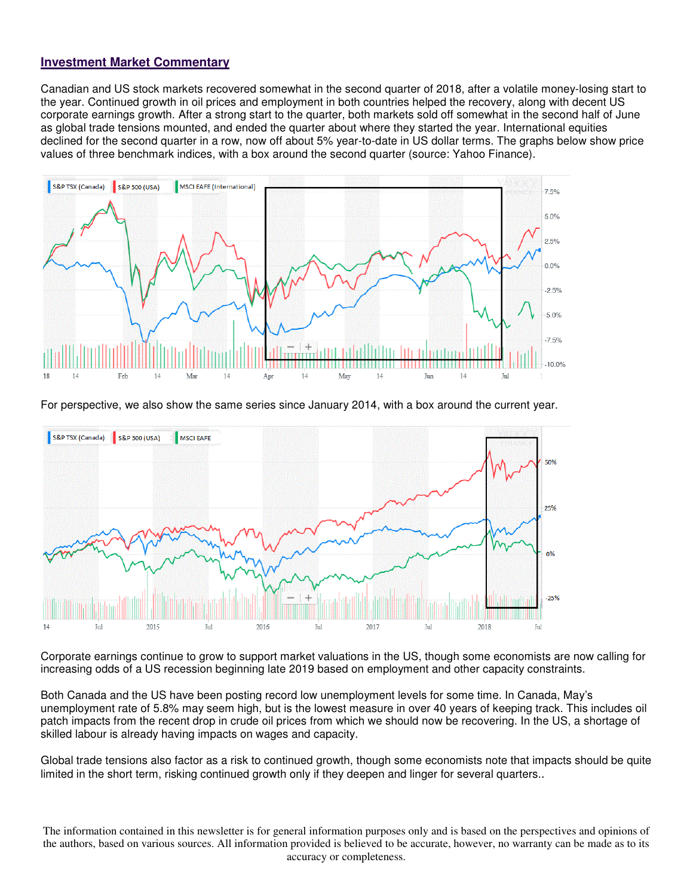#### **Investment Market Commentary**

Canadian and US stock markets recovered somewhat in the second quarter of 2018, after a volatile money-losing start to the year. Continued growth in oil prices and employment in both countries helped the recovery, along with decent US corporate earnings growth. After a strong start to the quarter, both markets sold off somewhat in the second half of June as global trade tensions mounted, and ended the quarter about where they started the year. International equities declined for the second quarter in a row, now off about 5% year-to-date in US dollar terms. The graphs below show price values of three benchmark indices, with a box around the second quarter (source: Yahoo Finance).



For perspective, we also show the same series since January 2014, with a box around the current year.



Corporate earnings continue to grow to support market valuations in the US, though some economists are now calling for increasing odds of a US recession beginning late 2019 based on employment and other capacity constraints.

Both Canada and the US have been posting record low unemployment levels for some time. In Canada, May's unemployment rate of 5.8% may seem high, but is the lowest measure in over 40 years of keeping track. This includes oil patch impacts from the recent drop in crude oil prices from which we should now be recovering. In the US, a shortage of skilled labour is already having impacts on wages and capacity.

Global trade tensions also factor as a risk to continued growth, though some economists note that impacts should be quite limited in the short term, risking continued growth only if they deepen and linger for several quarters..

The information contained in this newsletter is for general information purposes only and is based on the perspectives and opinions of the authors, based on various sources. All information provided is believed to be accurate, however, no warranty can be made as to its accuracy or completeness.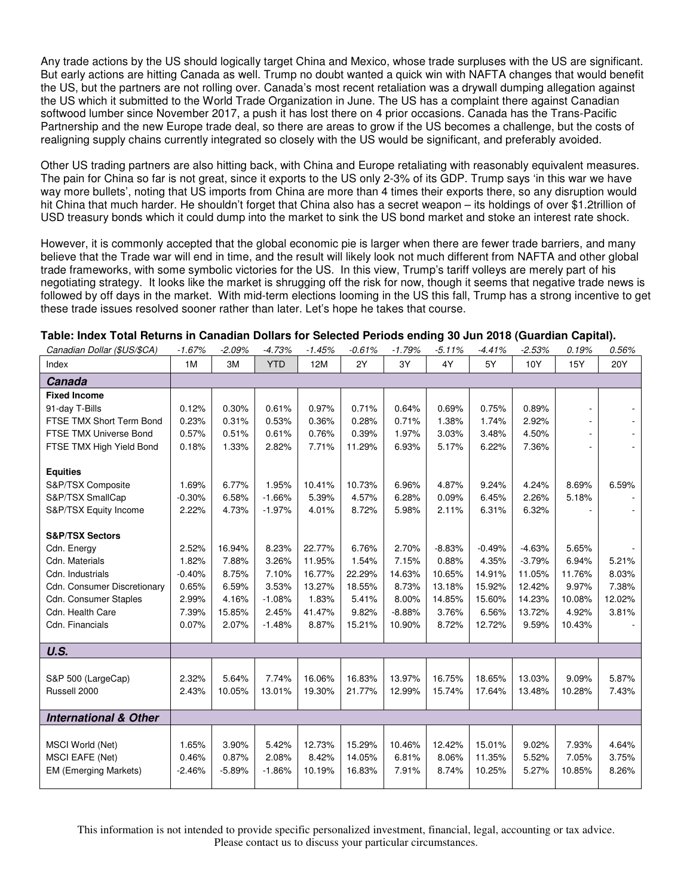Any trade actions by the US should logically target China and Mexico, whose trade surpluses with the US are significant. But early actions are hitting Canada as well. Trump no doubt wanted a quick win with NAFTA changes that would benefit the US, but the partners are not rolling over. Canada's most recent retaliation was a drywall dumping allegation against the US which it submitted to the World Trade Organization in June. The US has a complaint there against Canadian softwood lumber since November 2017, a push it has lost there on 4 prior occasions. Canada has the Trans-Pacific Partnership and the new Europe trade deal, so there are areas to grow if the US becomes a challenge, but the costs of realigning supply chains currently integrated so closely with the US would be significant, and preferably avoided.

Other US trading partners are also hitting back, with China and Europe retaliating with reasonably equivalent measures. The pain for China so far is not great, since it exports to the US only 2-3% of its GDP. Trump says 'in this war we have way more bullets', noting that US imports from China are more than 4 times their exports there, so any disruption would hit China that much harder. He shouldn't forget that China also has a secret weapon – its holdings of over \$1.2trillion of USD treasury bonds which it could dump into the market to sink the US bond market and stoke an interest rate shock.

However, it is commonly accepted that the global economic pie is larger when there are fewer trade barriers, and many believe that the Trade war will end in time, and the result will likely look not much different from NAFTA and other global trade frameworks, with some symbolic victories for the US. In this view, Trump's tariff volleys are merely part of his negotiating strategy. It looks like the market is shrugging off the risk for now, though it seems that negative trade news is followed by off days in the market. With mid-term elections looming in the US this fall, Trump has a strong incentive to get these trade issues resolved sooner rather than later. Let's hope he takes that course.

| Canadian Dollar (\$US/\$CA)      | $-1.67%$ | $-2.09%$ | $-4.73%$   | .<br>.<br>$-1.45%$ | $-0.61%$ | $-1.79%$ | $-5.11%$ | $\sim$ $\sim$ $\sim$<br>$-4.41%$ | $-2.53%$ | 0.19%  | 0.56%  |
|----------------------------------|----------|----------|------------|--------------------|----------|----------|----------|----------------------------------|----------|--------|--------|
| Index                            | 1M       | 3M       | <b>YTD</b> | 12M                | 2Y       | 3Y       | 4Y       | 5Y                               | 10Y      | 15Y    | 20Y    |
| Canada                           |          |          |            |                    |          |          |          |                                  |          |        |        |
| <b>Fixed Income</b>              |          |          |            |                    |          |          |          |                                  |          |        |        |
| 91-day T-Bills                   | 0.12%    | 0.30%    | 0.61%      | 0.97%              | 0.71%    | 0.64%    | 0.69%    | 0.75%                            | 0.89%    | ä,     |        |
| FTSE TMX Short Term Bond         | 0.23%    | 0.31%    | 0.53%      | 0.36%              | 0.28%    | 0.71%    | 1.38%    | 1.74%                            | 2.92%    |        |        |
| FTSE TMX Universe Bond           | 0.57%    | 0.51%    | 0.61%      | 0.76%              | 0.39%    | 1.97%    | 3.03%    | 3.48%                            | 4.50%    |        |        |
| FTSE TMX High Yield Bond         | 0.18%    | 1.33%    | 2.82%      | 7.71%              | 11.29%   | 6.93%    | 5.17%    | 6.22%                            | 7.36%    |        |        |
|                                  |          |          |            |                    |          |          |          |                                  |          |        |        |
| <b>Equities</b>                  |          |          |            |                    |          |          |          |                                  |          |        |        |
| S&P/TSX Composite                | 1.69%    | 6.77%    | 1.95%      | 10.41%             | 10.73%   | 6.96%    | 4.87%    | 9.24%                            | 4.24%    | 8.69%  | 6.59%  |
| S&P/TSX SmallCap                 | $-0.30%$ | 6.58%    | $-1.66%$   | 5.39%              | 4.57%    | 6.28%    | 0.09%    | 6.45%                            | 2.26%    | 5.18%  |        |
| S&P/TSX Equity Income            | 2.22%    | 4.73%    | $-1.97%$   | 4.01%              | 8.72%    | 5.98%    | 2.11%    | 6.31%                            | 6.32%    |        |        |
| <b>S&amp;P/TSX Sectors</b>       |          |          |            |                    |          |          |          |                                  |          |        |        |
| Cdn. Energy                      | 2.52%    | 16.94%   | 8.23%      | 22.77%             | 6.76%    | 2.70%    | $-8.83%$ | $-0.49%$                         | $-4.63%$ | 5.65%  |        |
| Cdn. Materials                   | 1.82%    | 7.88%    | 3.26%      | 11.95%             | 1.54%    | 7.15%    | 0.88%    | 4.35%                            | $-3.79%$ | 6.94%  | 5.21%  |
| Cdn. Industrials                 | $-0.40%$ | 8.75%    | 7.10%      | 16.77%             | 22.29%   | 14.63%   | 10.65%   | 14.91%                           | 11.05%   | 11.76% | 8.03%  |
| Cdn. Consumer Discretionary      | 0.65%    | 6.59%    | 3.53%      | 13.27%             | 18.55%   | 8.73%    | 13.18%   | 15.92%                           | 12.42%   | 9.97%  | 7.38%  |
| <b>Cdn. Consumer Staples</b>     | 2.99%    | 4.16%    | $-1.08%$   | 1.83%              | 5.41%    | 8.00%    | 14.85%   | 15.60%                           | 14.23%   | 10.08% | 12.02% |
| Cdn. Health Care                 | 7.39%    | 15.85%   | 2.45%      | 41.47%             | 9.82%    | $-8.88%$ | 3.76%    | 6.56%                            | 13.72%   | 4.92%  | 3.81%  |
| Cdn. Financials                  | 0.07%    | 2.07%    | $-1.48%$   | 8.87%              | 15.21%   | 10.90%   | 8.72%    | 12.72%                           | 9.59%    | 10.43% |        |
|                                  |          |          |            |                    |          |          |          |                                  |          |        |        |
| U.S.                             |          |          |            |                    |          |          |          |                                  |          |        |        |
|                                  |          |          |            |                    |          |          |          |                                  |          |        |        |
| S&P 500 (LargeCap)               | 2.32%    | 5.64%    | 7.74%      | 16.06%             | 16.83%   | 13.97%   | 16.75%   | 18.65%                           | 13.03%   | 9.09%  | 5.87%  |
| Russell 2000                     | 2.43%    | 10.05%   | 13.01%     | 19.30%             | 21.77%   | 12.99%   | 15.74%   | 17.64%                           | 13.48%   | 10.28% | 7.43%  |
|                                  |          |          |            |                    |          |          |          |                                  |          |        |        |
| <b>International &amp; Other</b> |          |          |            |                    |          |          |          |                                  |          |        |        |
|                                  |          |          |            |                    |          |          |          |                                  |          |        |        |
| MSCI World (Net)                 | 1.65%    | 3.90%    | 5.42%      | 12.73%             | 15.29%   | 10.46%   | 12.42%   | 15.01%                           | 9.02%    | 7.93%  | 4.64%  |
| <b>MSCI EAFE (Net)</b>           | 0.46%    | 0.87%    | 2.08%      | 8.42%              | 14.05%   | 6.81%    | 8.06%    | 11.35%                           | 5.52%    | 7.05%  | 3.75%  |
| <b>EM (Emerging Markets)</b>     | $-2.46%$ | $-5.89%$ | $-1.86%$   | 10.19%             | 16.83%   | 7.91%    | 8.74%    | 10.25%                           | 5.27%    | 10.85% | 8.26%  |
|                                  |          |          |            |                    |          |          |          |                                  |          |        |        |

#### **Table: Index Total Returns in Canadian Dollars for Selected Periods ending 30 Jun 2018 (Guardian Capital).**

This information is not intended to provide specific personalized investment, financial, legal, accounting or tax advice. Please contact us to discuss your particular circumstances.